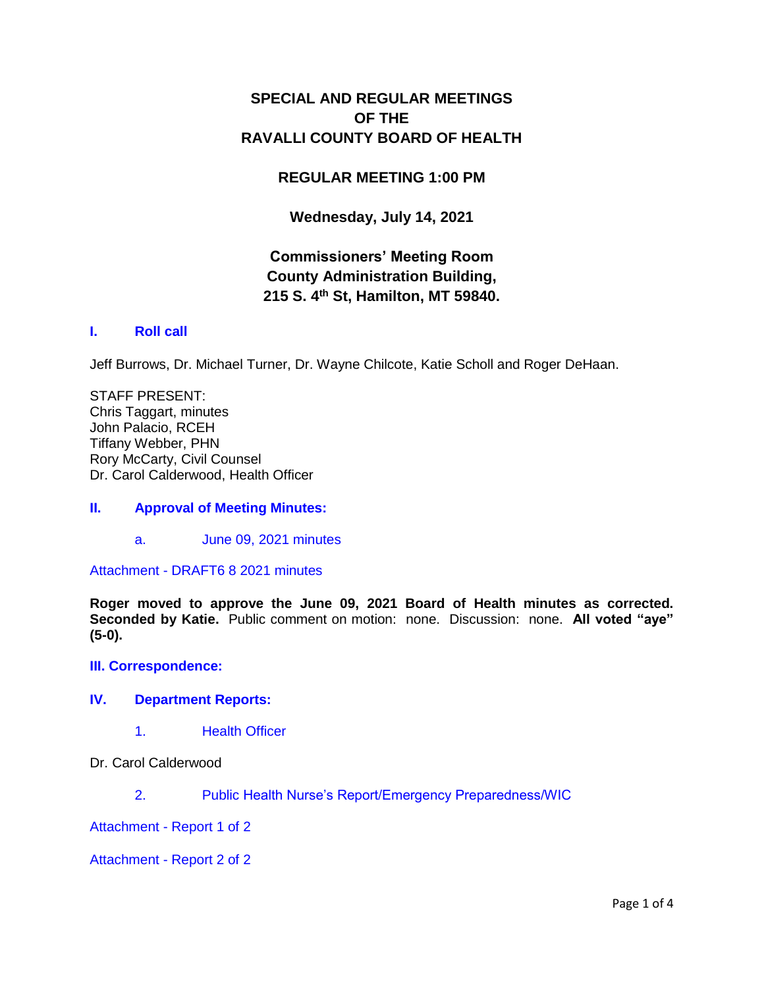# **SPECIAL AND REGULAR MEETINGS OF THE RAVALLI COUNTY BOARD OF HEALTH**

# **REGULAR MEETING 1:00 PM**

**Wednesday, July 14, 2021**

# **Commissioners' Meeting Room County Administration Building, 215 S. 4th St, Hamilton, MT 59840.**

# **I. [Roll call](http://ravalli-mt.granicus.com/wordlinkreceiver.php?clip_id=2cb8a489-4e98-4c41-b8d6-d261d4d8694b&meta_id=76323e59-e5ca-4531-ab1e-e80fe68c0eac&time=27)**

Jeff Burrows, Dr. Michael Turner, Dr. Wayne Chilcote, Katie Scholl and Roger DeHaan.

STAFF PRESENT: Chris Taggart, minutes John Palacio, RCEH Tiffany Webber, PHN Rory McCarty, Civil Counsel Dr. Carol Calderwood, Health Officer

# **II. [Approval of Meeting Minutes:](http://ravalli-mt.granicus.com/wordlinkreceiver.php?clip_id=2cb8a489-4e98-4c41-b8d6-d261d4d8694b&meta_id=b2191169-33c2-402b-94f8-d348eeaed251&time=47)**

a. [June 09, 2021 minutes](http://ravalli-mt.granicus.com/wordlinkreceiver.php?clip_id=2cb8a489-4e98-4c41-b8d6-d261d4d8694b&meta_id=40f1a068-19c5-451f-addc-856bd82e6c6d&time=54)

Attachment - [DRAFT6 8 2021 minutes](http://ravalli-mt.granicus.com/DocumentViewer.php?file=ravalli-mt_f5e90981d66010618cb818bd6fa5c88f.pdf)

**Roger moved to approve the June 09, 2021 Board of Health minutes as corrected. Seconded by Katie.** Public comment on motion: none. Discussion: none. **All voted "aye" (5-0).**

#### **[III. Correspondence:](http://ravalli-mt.granicus.com/wordlinkreceiver.php?clip_id=2cb8a489-4e98-4c41-b8d6-d261d4d8694b&meta_id=c38ad397-4cda-42ae-9ffc-1add11707049&time=115)**

### **IV. [Department Reports:](http://ravalli-mt.granicus.com/wordlinkreceiver.php?clip_id=2cb8a489-4e98-4c41-b8d6-d261d4d8694b&meta_id=db9a2f4a-5330-4701-b6f4-539555392965&time=155)**

- 1. [Health Officer](http://ravalli-mt.granicus.com/wordlinkreceiver.php?clip_id=2cb8a489-4e98-4c41-b8d6-d261d4d8694b&meta_id=9f646eb0-8b6c-4a91-850d-63ff2105740f&time=158)
- Dr. Carol Calderwood
	- 2. [Public Health Nurse's Report/Emergency Preparedness/WIC](http://ravalli-mt.granicus.com/wordlinkreceiver.php?clip_id=2cb8a489-4e98-4c41-b8d6-d261d4d8694b&meta_id=76f455db-5152-4510-97b5-d6e16c27bc25&time=229)

Attachment - [Report 1 of 2](http://ravalli-mt.granicus.com/DocumentViewer.php?file=ravalli-mt_b3acb11c3a2f33def4dcb897e5a9a304.pdf)

Attachment - [Report 2 of 2](http://ravalli-mt.granicus.com/DocumentViewer.php?file=ravalli-mt_c1072b64fbb94b1eb893d4a91f876b7f.pdf)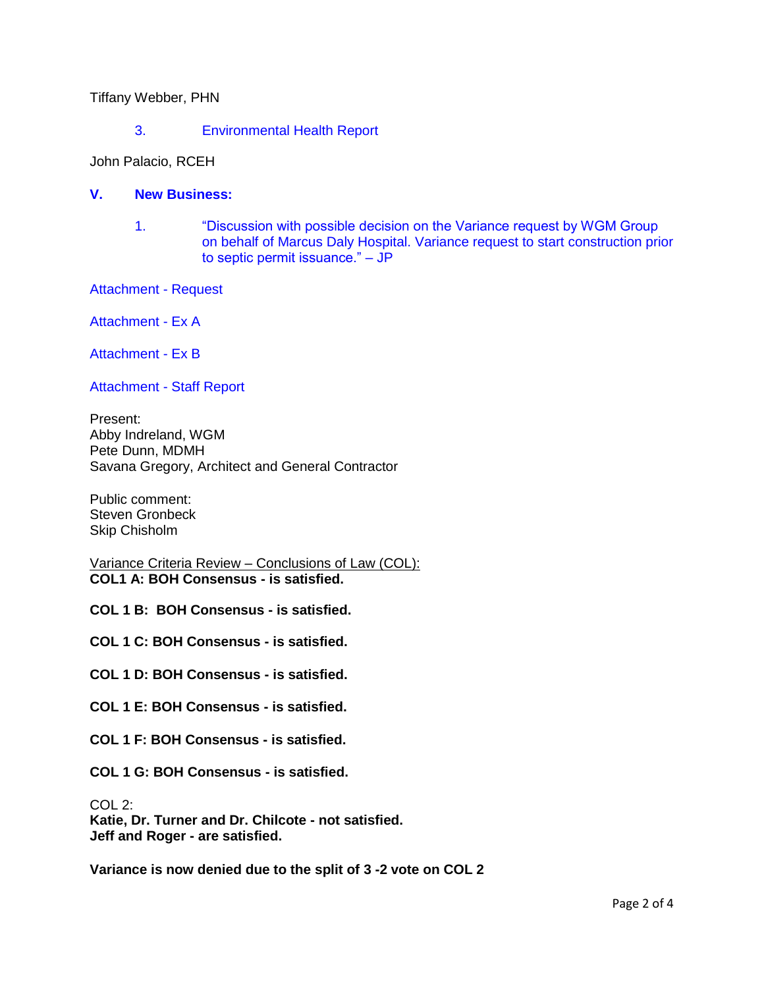Tiffany Webber, PHN

3. [Environmental Health Report](http://ravalli-mt.granicus.com/wordlinkreceiver.php?clip_id=2cb8a489-4e98-4c41-b8d6-d261d4d8694b&meta_id=7a805152-3d79-4686-8f24-6f1d2aa3037c&time=596)

John Palacio, RCEH

### **V. [New Business:](http://ravalli-mt.granicus.com/wordlinkreceiver.php?clip_id=2cb8a489-4e98-4c41-b8d6-d261d4d8694b&meta_id=b024c5fa-0131-4c64-af90-c9239561263b&time=1340)**

- 1. ["Discussion with possible decision on the Variance request by WGM Group](http://ravalli-mt.granicus.com/wordlinkreceiver.php?clip_id=2cb8a489-4e98-4c41-b8d6-d261d4d8694b&meta_id=863b2c94-3244-4503-aeb5-e8ce42258810&time=1341)  [on behalf of Marcus Daly Hospital. Variance request to start construction prior](http://ravalli-mt.granicus.com/wordlinkreceiver.php?clip_id=2cb8a489-4e98-4c41-b8d6-d261d4d8694b&meta_id=863b2c94-3244-4503-aeb5-e8ce42258810&time=1341)  [to septic permit issuance." –](http://ravalli-mt.granicus.com/wordlinkreceiver.php?clip_id=2cb8a489-4e98-4c41-b8d6-d261d4d8694b&meta_id=863b2c94-3244-4503-aeb5-e8ce42258810&time=1341) JP
- [Attachment -](http://ravalli-mt.granicus.com/DocumentViewer.php?file=ravalli-mt_f32132693c379ca70abf078445ad097b.pdf) Request

[Attachment -](http://ravalli-mt.granicus.com/DocumentViewer.php?file=ravalli-mt_3e3396bbeaf7e12f0be3bb8ded9cb701.PDF) Ex A

[Attachment](http://ravalli-mt.granicus.com/DocumentViewer.php?file=ravalli-mt_654d73478eefe8dbcd5d238b28a47dcc.pdf) - Ex B

[Attachment -](http://ravalli-mt.granicus.com/DocumentViewer.php?file=ravalli-mt_8bb49c59202887120989948c1c30445b.pdf) Staff Report

Present: Abby Indreland, WGM Pete Dunn, MDMH Savana Gregory, Architect and General Contractor

Public comment: Steven Gronbeck Skip Chisholm

Variance Criteria Review – Conclusions of Law (COL): **COL1 A: BOH Consensus - is satisfied.**

**COL 1 B: BOH Consensus - is satisfied.**

**COL 1 C: BOH Consensus - is satisfied.**

**COL 1 D: BOH Consensus - is satisfied.**

**COL 1 E: BOH Consensus - is satisfied.**

**COL 1 F: BOH Consensus - is satisfied.**

**COL 1 G: BOH Consensus - is satisfied.**

COL 2:

**Katie, Dr. Turner and Dr. Chilcote - not satisfied. Jeff and Roger - are satisfied.**

**Variance is now denied due to the split of 3 -2 vote on COL 2**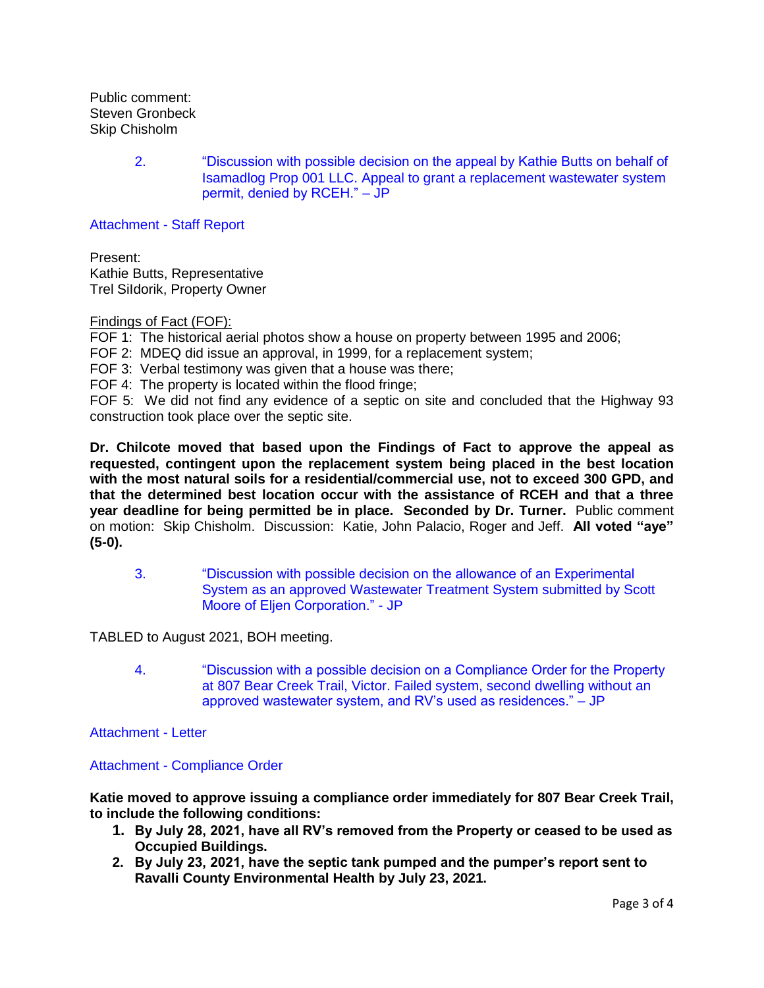Public comment: Steven Gronbeck Skip Chisholm

> 2. ["Discussion with possible decision on the appeal by Kathie Butts on behalf of](http://ravalli-mt.granicus.com/wordlinkreceiver.php?clip_id=2cb8a489-4e98-4c41-b8d6-d261d4d8694b&meta_id=7f1f1492-0959-4182-b719-cc4862c41db2&time=7054)  [Isamadlog Prop 001 LLC. Appeal to grant a replacement wastewater system](http://ravalli-mt.granicus.com/wordlinkreceiver.php?clip_id=2cb8a489-4e98-4c41-b8d6-d261d4d8694b&meta_id=7f1f1492-0959-4182-b719-cc4862c41db2&time=7054)  [permit, denied by RCEH." –](http://ravalli-mt.granicus.com/wordlinkreceiver.php?clip_id=2cb8a489-4e98-4c41-b8d6-d261d4d8694b&meta_id=7f1f1492-0959-4182-b719-cc4862c41db2&time=7054) JP

[Attachment -](http://ravalli-mt.granicus.com/DocumentViewer.php?file=ravalli-mt_71547dc0964e95c87c7b6ef38bc6e9c9.pdf) Staff Report

Present: Kathie Butts, Representative Trel SiIdorik, Property Owner

#### Findings of Fact (FOF):

FOF 1: The historical aerial photos show a house on property between 1995 and 2006;

FOF 2: MDEQ did issue an approval, in 1999, for a replacement system;

FOF 3: Verbal testimony was given that a house was there;

FOF 4: The property is located within the flood fringe;

FOF 5: We did not find any evidence of a septic on site and concluded that the Highway 93 construction took place over the septic site.

**Dr. Chilcote moved that based upon the Findings of Fact to approve the appeal as requested, contingent upon the replacement system being placed in the best location with the most natural soils for a residential/commercial use, not to exceed 300 GPD, and that the determined best location occur with the assistance of RCEH and that a three year deadline for being permitted be in place. Seconded by Dr. Turner.** Public comment on motion: Skip Chisholm. Discussion: Katie, John Palacio, Roger and Jeff. **All voted "aye" (5-0).**

3. ["Discussion with possible decision on the allowance of an Experimental](http://ravalli-mt.granicus.com/wordlinkreceiver.php?clip_id=2cb8a489-4e98-4c41-b8d6-d261d4d8694b&meta_id=18a433bb-ae05-45d1-b89a-10eab856837e&time=10974)  [System as an approved Wastewater Treatment System submitted by Scott](http://ravalli-mt.granicus.com/wordlinkreceiver.php?clip_id=2cb8a489-4e98-4c41-b8d6-d261d4d8694b&meta_id=18a433bb-ae05-45d1-b89a-10eab856837e&time=10974)  [Moore of Eljen Corporation." -](http://ravalli-mt.granicus.com/wordlinkreceiver.php?clip_id=2cb8a489-4e98-4c41-b8d6-d261d4d8694b&meta_id=18a433bb-ae05-45d1-b89a-10eab856837e&time=10974) JP

TABLED to August 2021, BOH meeting.

4. ["Discussion with a possible decision on a Compliance Order for the Property](http://ravalli-mt.granicus.com/wordlinkreceiver.php?clip_id=2cb8a489-4e98-4c41-b8d6-d261d4d8694b&meta_id=540a5118-69d2-4e20-aeb3-7c314fa255d0&time=10983)  [at 807 Bear Creek Trail, Victor. Failed system, second dwelling without an](http://ravalli-mt.granicus.com/wordlinkreceiver.php?clip_id=2cb8a489-4e98-4c41-b8d6-d261d4d8694b&meta_id=540a5118-69d2-4e20-aeb3-7c314fa255d0&time=10983)  [approved wastewater system, and RV's used as residences." –](http://ravalli-mt.granicus.com/wordlinkreceiver.php?clip_id=2cb8a489-4e98-4c41-b8d6-d261d4d8694b&meta_id=540a5118-69d2-4e20-aeb3-7c314fa255d0&time=10983) JP

[Attachment -](http://ravalli-mt.granicus.com/DocumentViewer.php?file=ravalli-mt_71117fae9ead6b52cac34b3446e6b708.pdf) Letter

#### Attachment - [Compliance Order](http://ravalli-mt.granicus.com/DocumentViewer.php?file=ravalli-mt_43fb2a718c426b275e9c7d9b84dc7f7d.pdf)

**Katie moved to approve issuing a compliance order immediately for 807 Bear Creek Trail, to include the following conditions:**

- **1. By July 28, 2021, have all RV's removed from the Property or ceased to be used as Occupied Buildings.**
- **2. By July 23, 2021, have the septic tank pumped and the pumper's report sent to Ravalli County Environmental Health by July 23, 2021.**